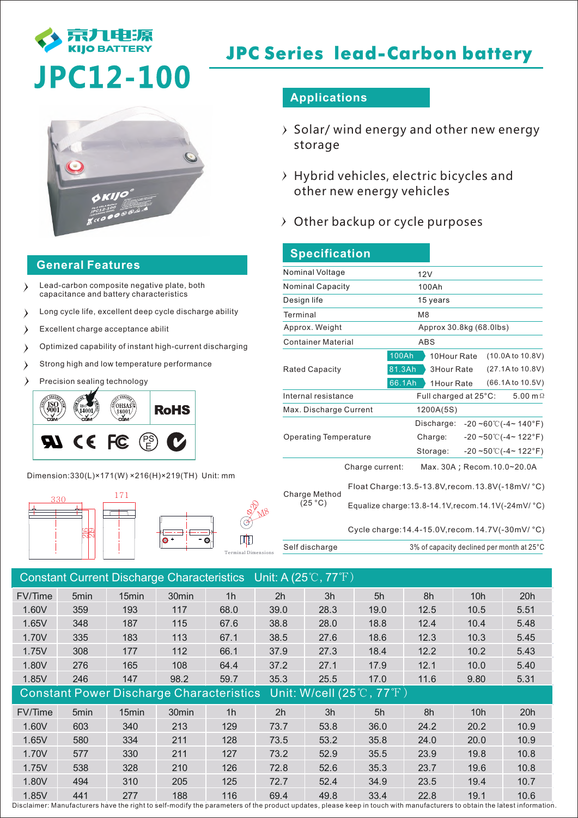

# **JPC Series lead-Carbon battery**

# **JPC12-100**



### **General Features**

- Lead-carbon composite negative plate, both capacitance and battery characteristics
- Long cycle life, excellent deep cycle discharge ability  $\lambda$
- $\rightarrow$ Excellent charge acceptance abilit
- Optimized capability of instant high-current discharging  $\lambda$
- Strong high and low temperature performance  $\lambda$
- Precision sealing technology



Dimension:330(L)×171(W) ×216(H)×219(TH) Unit: mm



### **Applications**

- $\rightarrow$  Solar/ wind energy and other new energy storage
- $\rightarrow$  Hybrid vehicles, electric bicycles and other new energy vehicles
- Other backup or cycle purposes

| <b>Specification</b>         |                                           |                                                                                                                                                                                                |  |  |  |  |  |
|------------------------------|-------------------------------------------|------------------------------------------------------------------------------------------------------------------------------------------------------------------------------------------------|--|--|--|--|--|
| Nominal Voltage              |                                           | 12V                                                                                                                                                                                            |  |  |  |  |  |
| <b>Nominal Capacity</b>      |                                           | 100Ah                                                                                                                                                                                          |  |  |  |  |  |
| Design life                  |                                           | 15 years                                                                                                                                                                                       |  |  |  |  |  |
| Terminal                     |                                           | M <sub>8</sub>                                                                                                                                                                                 |  |  |  |  |  |
| Approx. Weight               |                                           | Approx 30.8kg (68.0lbs)                                                                                                                                                                        |  |  |  |  |  |
| <b>Container Material</b>    |                                           | <b>ABS</b>                                                                                                                                                                                     |  |  |  |  |  |
| <b>Rated Capacity</b>        | <b>100Ah</b><br>81.3Ah<br>66.1Ah          | (10.0A to 10.8V)<br>10Hour Rate<br>(27.1A to 10.8V)<br><b>3Hour Rate</b><br>(66.1A to 10.5V)<br>1Hour Rate                                                                                     |  |  |  |  |  |
| Internal resistance          |                                           | 5.00 m $\Omega$<br>Full charged at 25°C:                                                                                                                                                       |  |  |  |  |  |
| Max. Discharge Current       |                                           | 1200A(5S)                                                                                                                                                                                      |  |  |  |  |  |
| <b>Operating Temperature</b> |                                           | Discharge:<br>$-20 - 60^{\circ}$ ( $-4 - 140^{\circ}$ F)<br>$-20 - 50^{\circ}$ (-4~ 122°F)<br>Charge:<br>$-20 - 50$ °C( $-4$ ~ 122°F)<br>Storage:                                              |  |  |  |  |  |
| Charge Method<br>(25 °C)     | Charge current:                           | Max. 30A; Recom. 10.0~20.0A<br>Float Charge: 13.5-13.8V, recom. 13.8V (-18mV/ °C)<br>Equalize charge: 13.8-14.1V, recom. 14.1V(-24mV/ °C)<br>Cycle charge: 14.4-15.0V, recom. 14.7V(-30mV/ °C) |  |  |  |  |  |
| Self discharge               | 3% of capacity declined per month at 25°C |                                                                                                                                                                                                |  |  |  |  |  |

| Constant Current Discharge Characteristics Unit: A (25°C, 77°F) |      |                                                 |                   |                |      |                                                         |      |      |                 |      |
|-----------------------------------------------------------------|------|-------------------------------------------------|-------------------|----------------|------|---------------------------------------------------------|------|------|-----------------|------|
| FV/Time                                                         | 5min | 15 <sub>min</sub>                               | 30 <sub>min</sub> | 1 <sub>h</sub> | 2h   | 3h                                                      | 5h   | 8h   | 10 <sub>h</sub> | 20h  |
| 1.60V                                                           | 359  | 193                                             | 117               | 68.0           | 39.0 | 28.3                                                    | 19.0 | 12.5 | 10.5            | 5.51 |
| 1.65V                                                           | 348  | 187                                             | 115               | 67.6           | 38.8 | 28.0                                                    | 18.8 | 12.4 | 10.4            | 5.48 |
| 1.70V                                                           | 335  | 183                                             | 113               | 67.1           | 38.5 | 27.6                                                    | 18.6 | 12.3 | 10.3            | 5.45 |
| 1.75V                                                           | 308  | 177                                             | 112               | 66.1           | 37.9 | 27.3                                                    | 18.4 | 12.2 | 10.2            | 5.43 |
| 1.80V                                                           | 276  | 165                                             | 108               | 64.4           | 37.2 | 27.1                                                    | 17.9 | 12.1 | 10.0            | 5.40 |
| 1.85V                                                           | 246  | 147                                             | 98.2              | 59.7           | 35.3 | 25.5                                                    | 17.0 | 11.6 | 9.80            | 5.31 |
|                                                                 |      | <b>Constant Power Discharge Characteristics</b> |                   |                |      | Unit: W/cell $(25^{\circ}\text{C}, 77^{\circ}\text{F})$ |      |      |                 |      |
| FV/Time                                                         | 5min | 15min                                           | 30 <sub>min</sub> | 1 <sub>h</sub> | 2h   | 3h                                                      | 5h   | 8h   | 10h             | 20h  |
| 1.60V                                                           | 603  | 340                                             | 213               | 129            | 73.7 | 53.8                                                    | 36.0 | 24.2 | 20.2            | 10.9 |
| 1.65V                                                           | 580  | 334                                             | 211               | 128            | 73.5 | 53.2                                                    | 35.8 | 24.0 | 20.0            | 10.9 |
| 1.70V                                                           | 577  | 330                                             | 211               | 127            | 73.2 | 52.9                                                    | 35.5 | 23.9 | 19.8            | 10.8 |
| 1.75V                                                           | 538  | 328                                             | 210               | 126            | 72.8 | 52.6                                                    | 35.3 | 23.7 | 19.6            | 10.8 |
| 1.80V                                                           | 494  | 310                                             | 205               | 125            | 72.7 | 52.4                                                    | 34.9 | 23.5 | 19.4            | 10.7 |
| 1.85V                                                           | 441  | 277                                             | 188               | 116            | 69.4 | 49.8                                                    | 33.4 | 22.8 | 19.1            | 10.6 |

Disclaimer: Manufacturers have the right to self-modify the parameters of the product updates, please keep in touch with manufacturers to obtain the latest information.